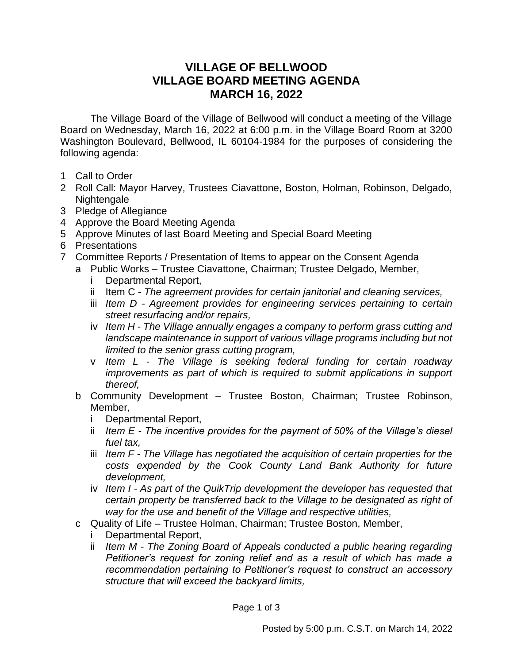## **VILLAGE OF BELLWOOD VILLAGE BOARD MEETING AGENDA MARCH 16, 2022**

The Village Board of the Village of Bellwood will conduct a meeting of the Village Board on Wednesday, March 16, 2022 at 6:00 p.m. in the Village Board Room at 3200 Washington Boulevard, Bellwood, IL 60104-1984 for the purposes of considering the following agenda:

- 1 Call to Order
- 2 Roll Call: Mayor Harvey, Trustees Ciavattone, Boston, Holman, Robinson, Delgado, Nightengale
- 3 Pledge of Allegiance
- 4 Approve the Board Meeting Agenda
- 5 Approve Minutes of last Board Meeting and Special Board Meeting
- 6 Presentations
- 7 Committee Reports / Presentation of Items to appear on the Consent Agenda
	- a Public Works Trustee Ciavattone, Chairman; Trustee Delgado, Member,
		- i Departmental Report,
		- ii Item C *The agreement provides for certain janitorial and cleaning services,*
		- iii *Item D - Agreement provides for engineering services pertaining to certain street resurfacing and/or repairs,*
		- iv *Item H - The Village annually engages a company to perform grass cutting and*  landscape maintenance in support of various village programs including but not *limited to the senior grass cutting program,*
		- v *Item L - The Village is seeking federal funding for certain roadway improvements as part of which is required to submit applications in support thereof,*
	- b Community Development Trustee Boston, Chairman; Trustee Robinson, Member,
		- i Departmental Report,
		- ii *Item E - The incentive provides for the payment of 50% of the Village's diesel fuel tax,*
		- iii *Item F - The Village has negotiated the acquisition of certain properties for the costs expended by the Cook County Land Bank Authority for future development,*
		- iv *Item I - As part of the QuikTrip development the developer has requested that certain property be transferred back to the Village to be designated as right of way for the use and benefit of the Village and respective utilities,*
	- c Quality of Life Trustee Holman, Chairman; Trustee Boston, Member,
		- i Departmental Report,
			- ii *Item M - The Zoning Board of Appeals conducted a public hearing regarding Petitioner's request for zoning relief and as a result of which has made a recommendation pertaining to Petitioner's request to construct an accessory structure that will exceed the backyard limits,*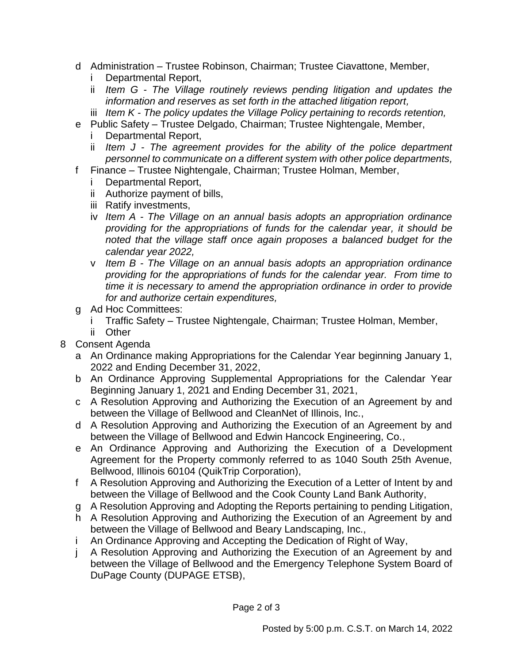- d Administration Trustee Robinson, Chairman; Trustee Ciavattone, Member,
	- i Departmental Report,
	- ii *Item G - The Village routinely reviews pending litigation and updates the information and reserves as set forth in the attached litigation report,*
	- iii *Item K - The policy updates the Village Policy pertaining to records retention,*
- e Public Safety Trustee Delgado, Chairman; Trustee Nightengale, Member,
	- Departmental Report,
	- ii *Item J - The agreement provides for the ability of the police department personnel to communicate on a different system with other police departments,*
- f Finance Trustee Nightengale, Chairman; Trustee Holman, Member,
	- i Departmental Report,
	- ii Authorize payment of bills,
	- iii Ratify investments,
	- iv *Item A - The Village on an annual basis adopts an appropriation ordinance providing for the appropriations of funds for the calendar year, it should be noted that the village staff once again proposes a balanced budget for the calendar year 2022,*
	- v *Item B - The Village on an annual basis adopts an appropriation ordinance providing for the appropriations of funds for the calendar year. From time to time it is necessary to amend the appropriation ordinance in order to provide for and authorize certain expenditures,*
- g Ad Hoc Committees:
	- i Traffic Safety Trustee Nightengale, Chairman; Trustee Holman, Member,
	- ii Other
- 8 Consent Agenda
	- a An Ordinance making Appropriations for the Calendar Year beginning January 1, 2022 and Ending December 31, 2022,
	- b An Ordinance Approving Supplemental Appropriations for the Calendar Year Beginning January 1, 2021 and Ending December 31, 2021,
	- c A Resolution Approving and Authorizing the Execution of an Agreement by and between the Village of Bellwood and CleanNet of Illinois, Inc.,
	- d A Resolution Approving and Authorizing the Execution of an Agreement by and between the Village of Bellwood and Edwin Hancock Engineering, Co.,
	- e An Ordinance Approving and Authorizing the Execution of a Development Agreement for the Property commonly referred to as 1040 South 25th Avenue, Bellwood, Illinois 60104 (QuikTrip Corporation),
	- f A Resolution Approving and Authorizing the Execution of a Letter of Intent by and between the Village of Bellwood and the Cook County Land Bank Authority,
	- g A Resolution Approving and Adopting the Reports pertaining to pending Litigation,
	- h A Resolution Approving and Authorizing the Execution of an Agreement by and between the Village of Bellwood and Beary Landscaping, Inc.,
	- i An Ordinance Approving and Accepting the Dedication of Right of Way,
	- A Resolution Approving and Authorizing the Execution of an Agreement by and between the Village of Bellwood and the Emergency Telephone System Board of DuPage County (DUPAGE ETSB),